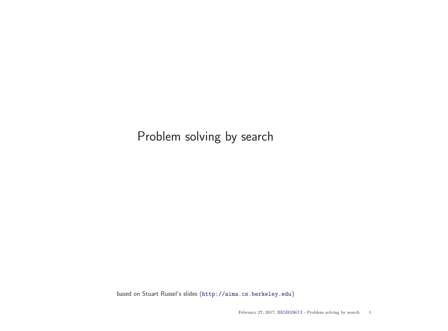# Problem solving by search

based on Stuart Russel's slides (<http://aima.cs.berkeley.edu>)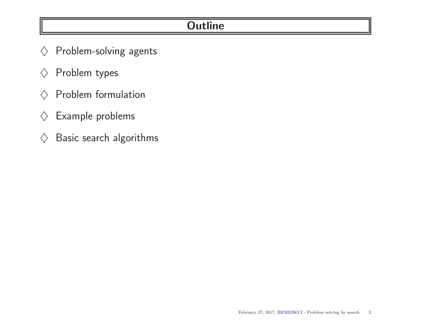### **Outline**

- $\diamondsuit$  Problem-solving agents
- $\diamondsuit$  Problem types
- $\diamondsuit$  Problem formulation
- $\diamondsuit$  Example problems
- $\diamondsuit$  Basic search algorithms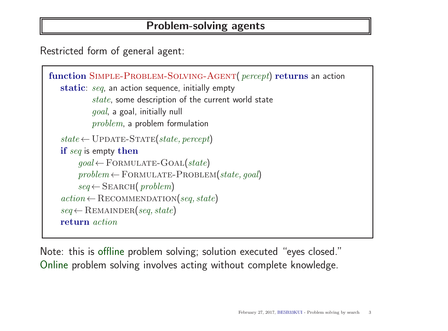### Problem-solving agents

Restricted form of general agent:

```
function SIMPLE-PROBLEM-SOLVING-AGENT( percept) returns an action
   static: seq, an action sequence, initially empty
            state, some description of the current world state
            goal, a goal, initially null
           problem, a problem formulation
   state \leftarrow \text{UPDATE-STATE}(state, percept)if seq is empty then
        goal \leftarrow FORMULATE-GOAL(state)
        problem \leftarrow \text{FORMULATE-PROBLEM}(state, goal)seq \leftarrowSEARCH(problem)
   action \leftarrow RECOMMENDATION(seq, state)seq \leftarrowREMAINDER(seq, state)
   return action
```
Note: this is offline problem solving; solution executed "eyes closed." Online problem solving involves acting without complete knowledge.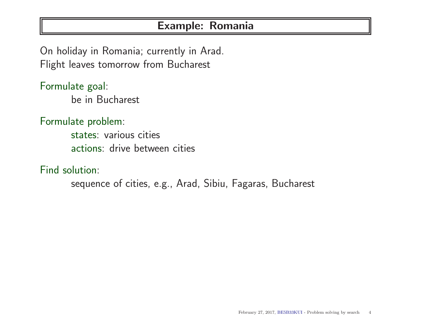### Example: Romania

On holiday in Romania; currently in Arad. Flight leaves tomorrow from Bucharest

Formulate goal: be in Bucharest

Formulate problem:

states: various cities actions: drive between cities

Find solution:

sequence of cities, e.g., Arad, Sibiu, Fagaras, Bucharest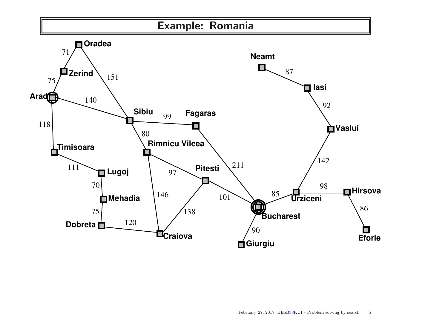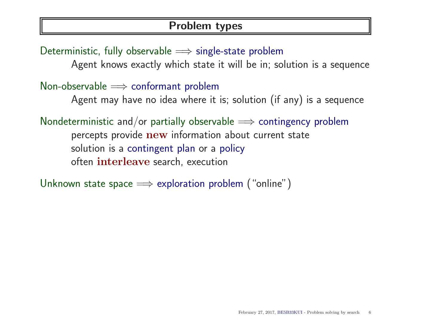### Problem types

Deterministic, fully observable  $\implies$  single-state problem Agent knows exactly which state it will be in; solution is a sequence Non-observable  $\implies$  conformant problem Agent may have no idea where it is; solution (if any) is a sequence Nondeterministic and/or partially observable  $\implies$  contingency problem percepts provide new information about current state solution is a contingent plan or a policy often interleave search, execution

Unknown state space  $\implies$  exploration problem ("online")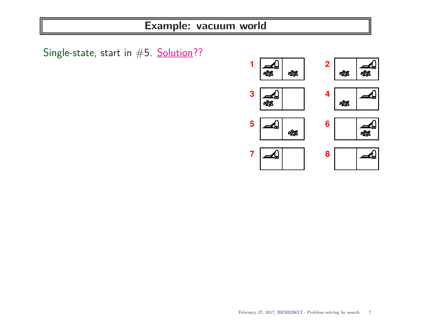Single-state, start in #5. Solution??

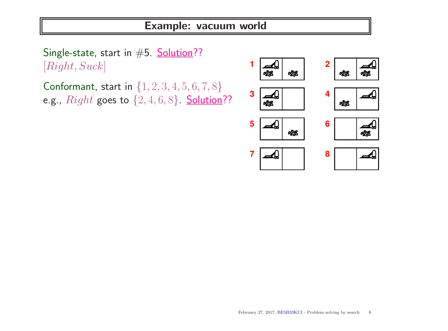Single-state, start in #5. Solution?? [Right, Suck]

Conformant, start in {1, 2, 3, 4, 5, 6, 7, 8} e.g.,  $Right$  goes to  $\{2, 4, 6, 8\}$ . Solution??

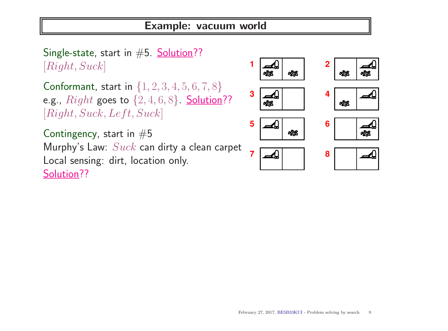Single-state, start in  $#5$ . Solution?? [Right, Suck]

Conformant, start in {1, 2, 3, 4, 5, 6, 7, 8} e.g.,  $Right$  goes to  $\{2, 4, 6, 8\}$ . Solution??  $[Right, Suck, Left, Suck]$ 

Contingency, start in  $#5$ Murphy's Law:  $Suck$  can dirty a clean carpet Local sensing: dirt, location only. Solution??

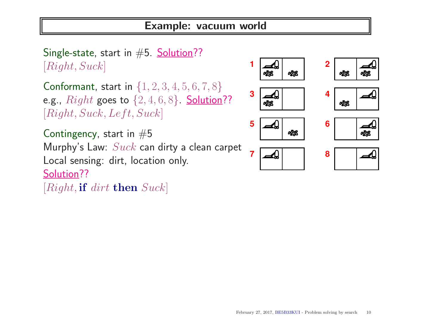Single-state, start in  $#5$ . Solution?? [Right, Suck]

Conformant, start in  $\{1, 2, 3, 4, 5, 6, 7, 8\}$ e.g.,  $Right$  goes to  $\{2, 4, 6, 8\}$ . Solution??  $[Right, Suck, Left, Suck]$ 

Contingency, start in  $#5$ Murphy's Law:  $Suck$  can dirty a clean carpet Local sensing: dirt, location only. Solution??

 $[Right, \textbf{if} \text{ dirt} \textbf{then} \text{ Suck}]$ 

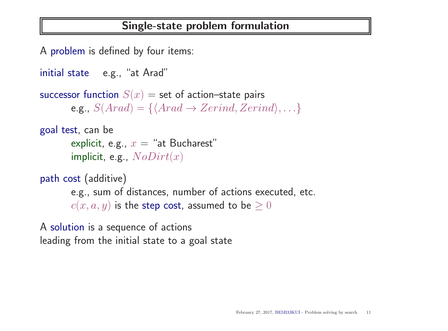### Single-state problem formulation

A problem is defined by four items:

```
initial state e.g., "at Arad"
successor function S(x) = set of action–state pairs
       e.g., S(Arad) = \{ \langle Arad \rightarrow Zerind, Zerind \rangle, \ldots \}goal test, can be
       explicit, e.g., x = "at Bucharest"
       implicit, e.g., NoDirt(x)
```
path cost (additive)

e.g., sum of distances, number of actions executed, etc.  $c(x, a, y)$  is the step cost, assumed to be  $\geq 0$ 

A solution is a sequence of actions leading from the initial state to a goal state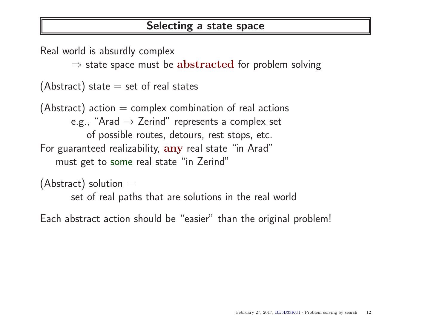### Selecting a state space

Real world is absurdly complex  $\Rightarrow$  state space must be abstracted for problem solving (Abstract) state  $=$  set of real states (Abstract) action  $=$  complex combination of real actions e.g., "Arad  $\rightarrow$  Zerind" represents a complex set of possible routes, detours, rest stops, etc. For guaranteed realizability, any real state "in Arad" must get to some real state "in Zerind"

(Abstract) solution  $=$ 

set of real paths that are solutions in the real world

Each abstract action should be "easier" than the original problem!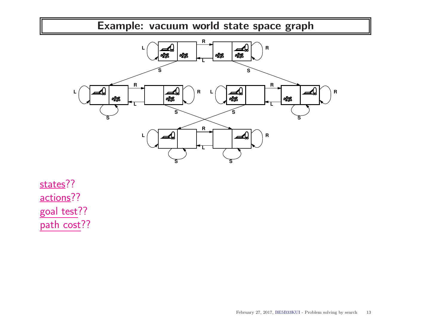

states?? actions?? goal test?? path cost??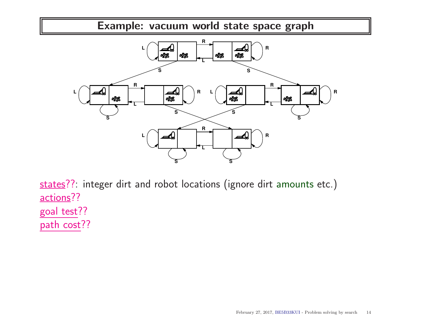

states??: integer dirt and robot locations (ignore dirt amounts etc.) actions?? goal test?? path cost??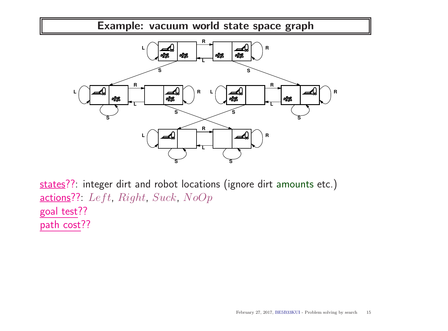

states??: integer dirt and robot locations (ignore dirt amounts etc.) actions??: Left, Right, Suck, NoOp goal test?? path cost??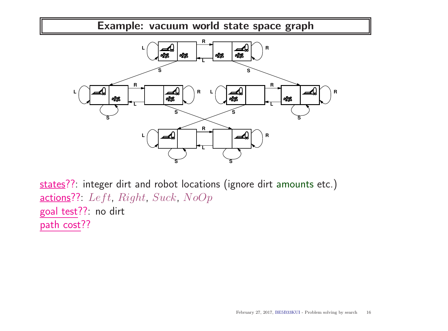

states??: integer dirt and robot locations (ignore dirt amounts etc.) actions??: Left, Right, Suck, NoOp goal test??: no dirt path cost??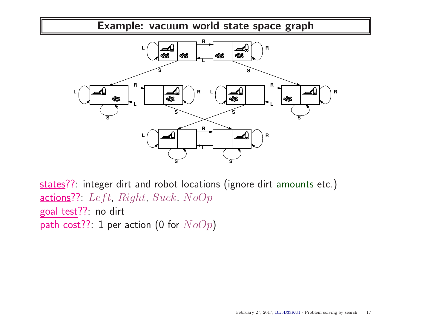

states??: integer dirt and robot locations (ignore dirt amounts etc.) actions??: Left, Right, Suck,  $NoOp$ goal test??: no dirt path cost??: 1 per action (0 for  $NoOp$ )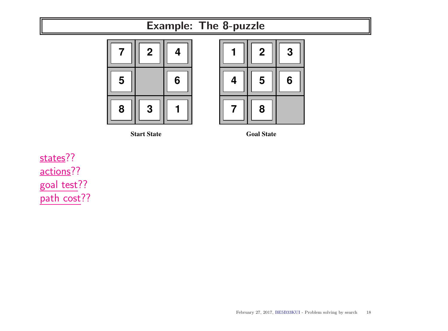## Example: The 8-puzzle



**Start State Goal State** 



states?? actions?? goal test?? path cost??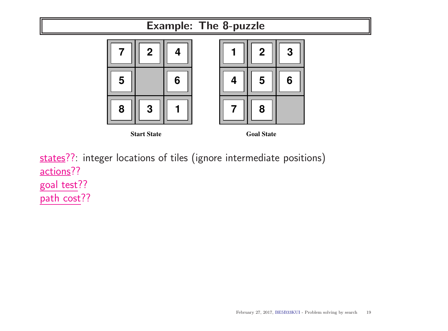

states??: integer locations of tiles (ignore intermediate positions) actions?? goal test?? path cost??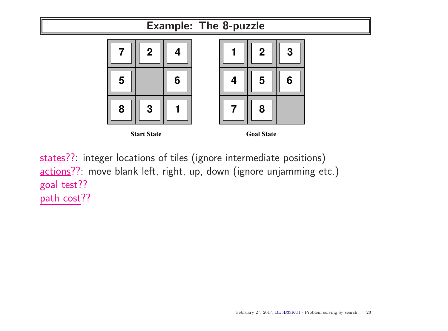

states??: integer locations of tiles (ignore intermediate positions) actions??: move blank left, right, up, down (ignore unjamming etc.) goal test?? path cost??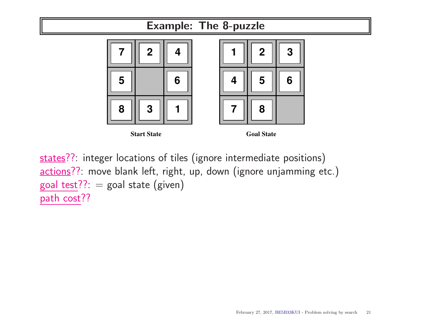

states??: integer locations of tiles (ignore intermediate positions) actions??: move blank left, right, up, down (ignore unjamming etc.) goal test??:  $=$  goal state (given) path cost??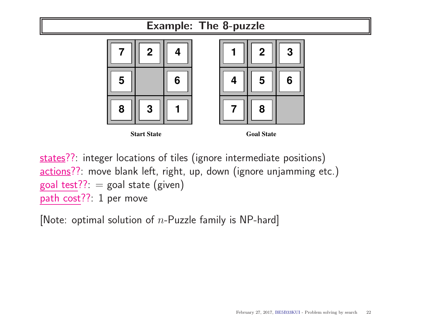

goal test??:  $=$  goal state (given)

path cost??: 1 per move

[Note: optimal solution of  $n$ -Puzzle family is NP-hard]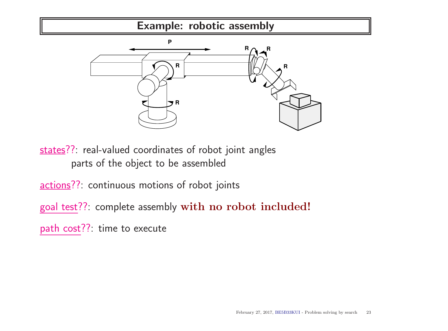Example: robotic assembly



states??: real-valued coordinates of robot joint angles parts of the object to be assembled

actions??: continuous motions of robot joints

goal test??: complete assembly with no robot included!

path cost??: time to execute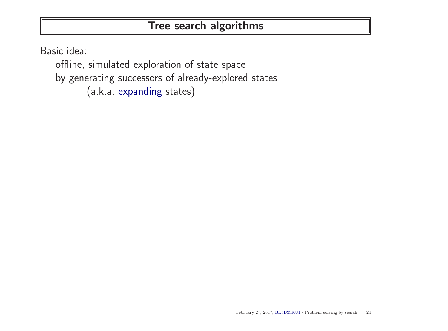### Tree search algorithms

Basic idea:

offline, simulated exploration of state space by generating successors of already-explored states (a.k.a. expanding states)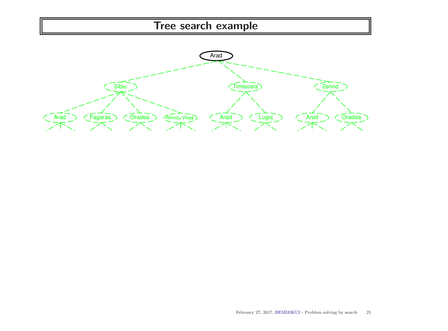### Tree search example

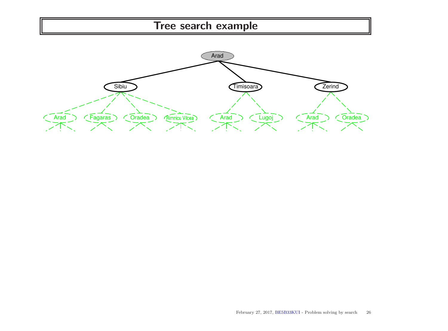# Tree search example

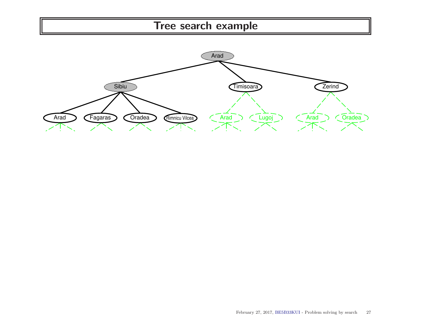# Tree search example

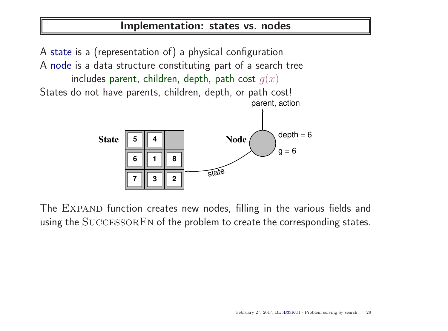### Implementation: states vs. nodes

A state is a (representation of) a physical configuration A node is a data structure constituting part of a search tree includes parent, children, depth, path cost  $g(x)$ States do not have parents, children, depth, or path cost! **1 5 4 6 6 1 8 5 4 6** || 1 || 8<br>7 || 3 || 2 State  $\boxed{5}$   $\boxed{4}$   $\boxed{8}$   $\boxed{9}$   $\boxed{9}$   $\boxed{9}$   $\boxed{1}$   $\boxed{9}$   $\boxed{1}$   $\boxed{1}$   $\boxed{1}$   $\boxed{1}$   $\boxed{1}$   $\boxed{1}$   $\boxed{1}$   $\boxed{1}$   $\boxed{1}$   $\boxed{1}$   $\boxed{1}$   $\boxed{1}$   $\boxed{1}$   $\boxed{1}$   $\boxed{1}$   $\boxed{1}$   $\boxed{1}$   $\boxed{1}$   $\boxed{1}$  $g = 6$ parent, action

**3 2**

**3 2**

**7**



state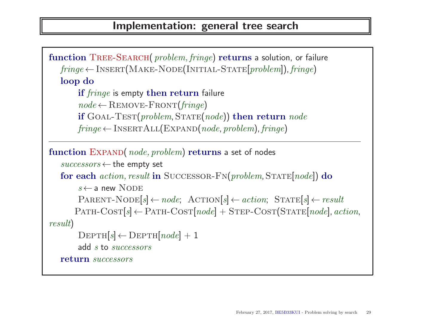```
function TREE-SEARCH( problem, fringe) returns a solution, or failure
   fringe \leftarrow \text{INSERT}(\text{MAKE-NODE}(\text{INITIAL-STATE}[\text{problem}]), \text{fringe})loop do
        if fringe is empty then return failure
        node \leftarrowREMOVE-FRONT(fringe)if GOAL-TEST(problem, STATE(node)) then return node
        fringe \leftarrow \text{INSERTALL}(\text{EXPAND}(node, problem), fringe)function EXPAND(node, problem) returns a set of nodes
   successors \leftarrow the empty set
   for each action, result in SUCCESSOR-FN(problem, STATE[node]) do
        s \leftarrow a new NODE
        PARENT-NODE[s] \leftarrow node; ACTION[s] \leftarrow action; STATE[s] \leftarrow result\text{PATH-COST}[s] \leftarrow \text{PATH-COST}[node] + \text{STEP-COST}(STATE[node], action,result)
        DEF H[s] \leftarrow \text{DEPTH}[node] + 1add s to successors
   return successors
```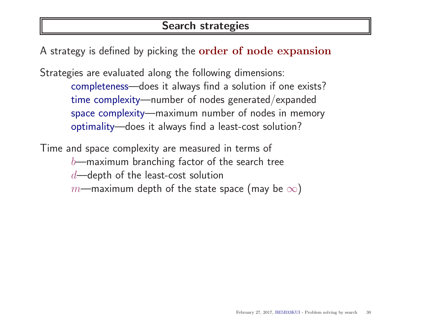### Search strategies

A strategy is defined by picking the order of node expansion

Strategies are evaluated along the following dimensions: completeness—does it always find a solution if one exists? time complexity—number of nodes generated/expanded space complexity—maximum number of nodes in memory optimality—does it always find a least-cost solution?

Time and space complexity are measured in terms of  $b$ —maximum branching factor of the search tree  $d$ —depth of the least-cost solution  $m$ —maximum depth of the state space (may be  $\infty$ )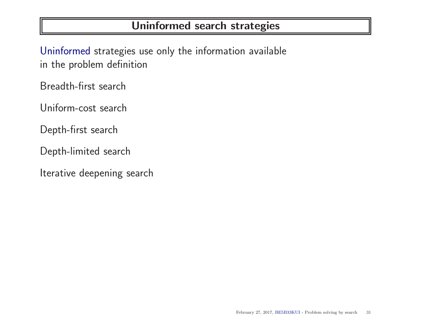### Uninformed search strategies

Uninformed strategies use only the information available in the problem definition

Breadth-first search

Uniform-cost search

Depth-first search

Depth-limited search

Iterative deepening search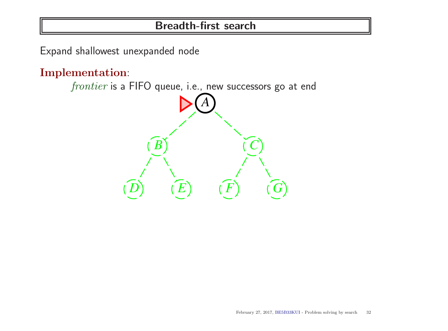Expand shallowest unexpanded node

Implementation:

frontier is a FIFO queue, i.e., new successors go at end *A*  $\widehat{B}$   $\widehat{C}$  $\widehat{D}$   $\widehat{E}$   $\widehat{F}$   $\widehat{G}$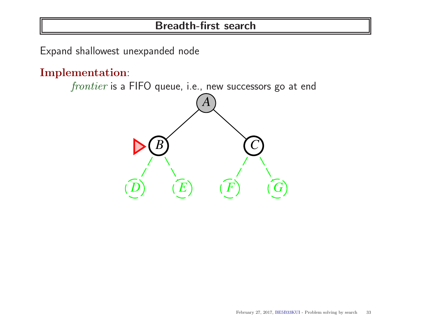Expand shallowest unexpanded node

Implementation:

frontier is a FIFO queue, i.e., new successors go at end *A*

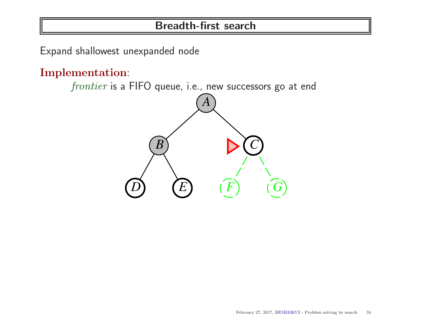Expand shallowest unexpanded node

Implementation:

frontier is a FIFO queue, i.e., new successors go at end *A*  $\overline{B}$   $\overline{C}$  $\widehat{D}$   $\widehat{E}$   $\widehat{F}$   $\widehat{G}$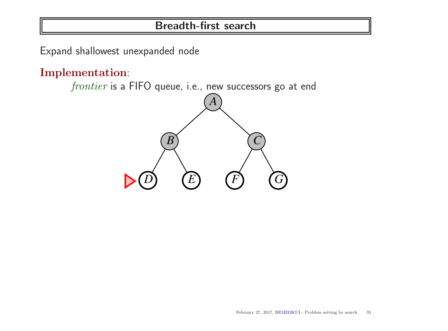Expand shallowest unexpanded node

Implementation:

frontier is a FIFO queue, i.e., new successors go at end

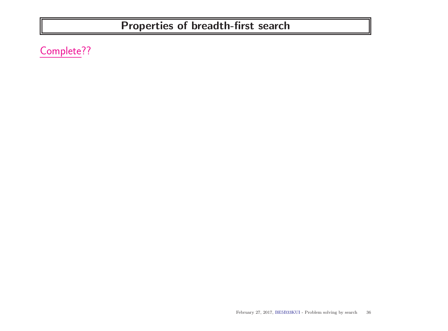# Properties of breadth-first search

Complete??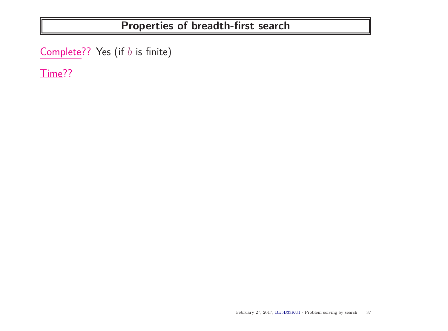$Complete$ ?? Yes (if  $b$  is finite)

Time??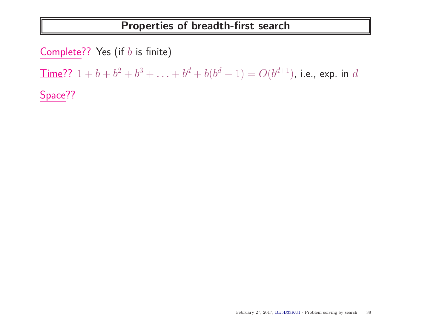Complete?? Yes (if  $b$  is finite)

 $\overline{\text{Time}}$ ??  $1 + b + b^2 + b^3 + \ldots + b^d + b(b^d - 1) = O(b^{d+1})$ , i.e., exp. in  $d$ 

Space??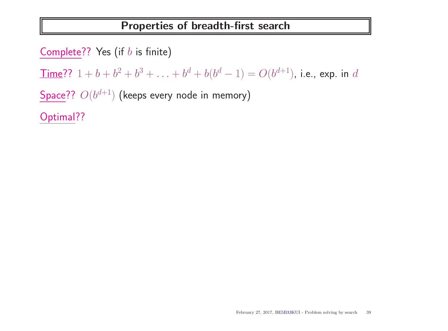Complete?? Yes (if  $b$  is finite)

 $\overline{\text{Time}}$ ??  $1 + b + b^2 + b^3 + \ldots + b^d + b(b^d - 1) = O(b^{d+1})$ , i.e., exp. in  $d$ 

Space??  $O(b^{d+1})$  (keeps every node in memory)

Optimal??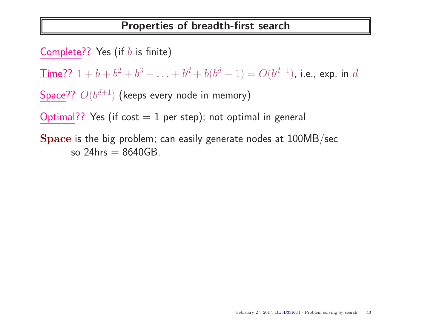Complete?? Yes (if  $b$  is finite)

 $\overline{\text{Time}}$ ??  $1 + b + b^2 + b^3 + \ldots + b^d + b(b^d - 1) = O(b^{d+1})$ , i.e., exp. in  $d$ 

Space??  $O(b^{d+1})$  (keeps every node in memory)

Optimal?? Yes (if cost  $= 1$  per step); not optimal in general

Space is the big problem; can easily generate nodes at 100MB/sec so  $24$ hrs  $= 8640$ GB.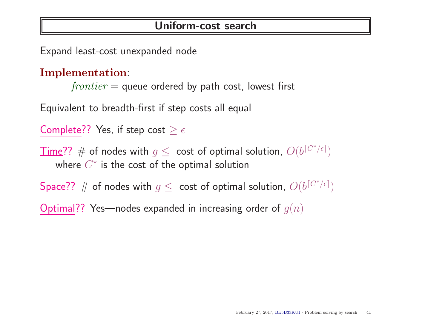Expand least-cost unexpanded node

#### Implementation:

 $frontier =$  queue ordered by path cost, lowest first

Equivalent to breadth-first if step costs all equal

Complete?? Yes, if step cost  $\geq \epsilon$ 

 $\overline{\textsf{Time}}? ? \text{ } \# \text{ }$  of nodes with  $g \leq \text{ } \textsf{cost} \text{ }$  of optimal solution,  $O(b^{\lceil C^*/\epsilon \rceil})$ where  $C^*$  is the cost of the optimal solution

Space??  $\#$  of nodes with  $g\leq\,$  cost of optimal solution,  $O(b^{\lceil C^*/\epsilon \rceil})$ 

Optimal?? Yes—nodes expanded in increasing order of  $g(n)$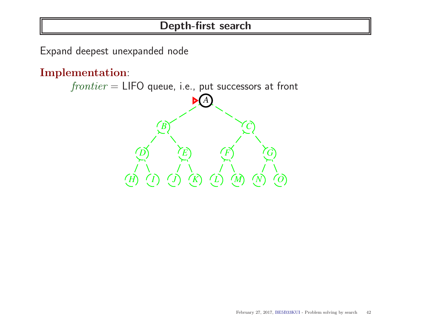Expand deepest unexpanded node

Implementation:

 $frontier = LIFO$  queue, i.e., put successors at front *A*  $\overrightarrow{B}$   $\overrightarrow{C}$  $\widetilde{D}$   $\widetilde{E}$   $\widetilde{F}$   $\widetilde{G}$ *H I J K L M N O*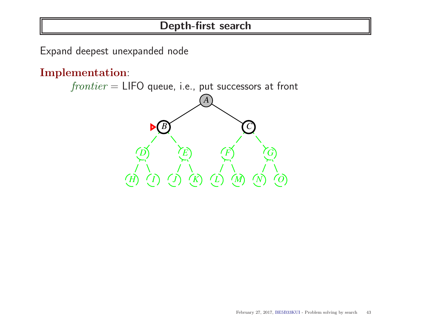Expand deepest unexpanded node

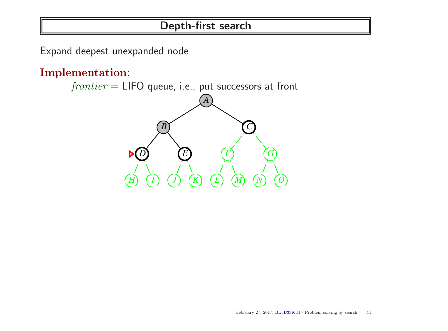Expand deepest unexpanded node

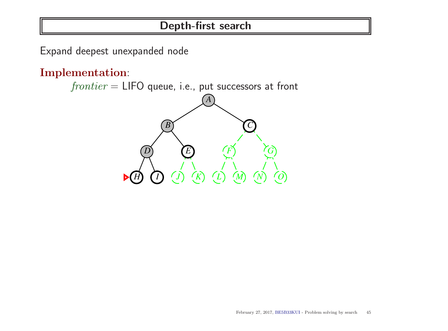Expand deepest unexpanded node

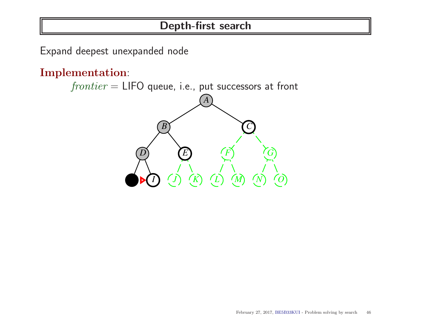Expand deepest unexpanded node

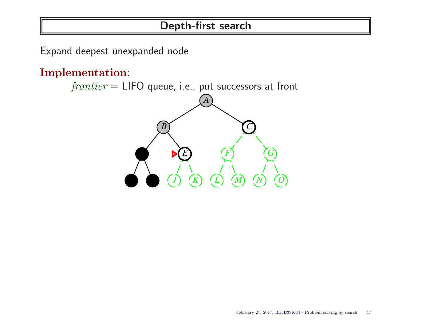Expand deepest unexpanded node

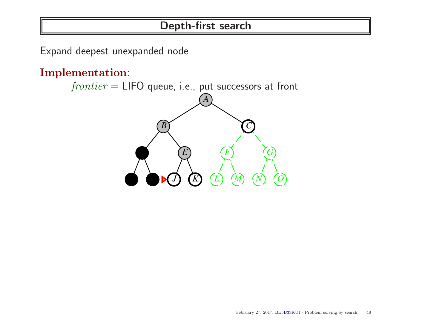Expand deepest unexpanded node

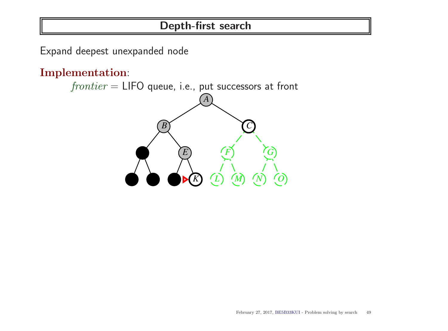Expand deepest unexpanded node

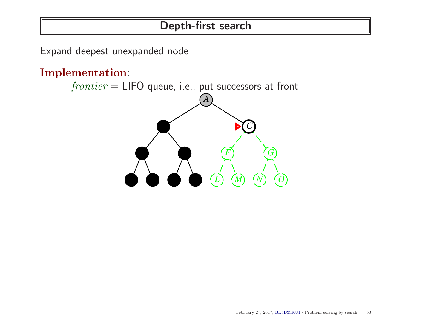Expand deepest unexpanded node

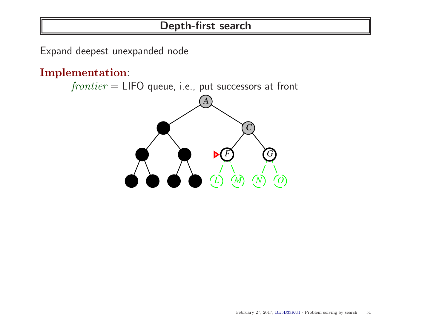Expand deepest unexpanded node

Implementation:

 $frontier = LIFO$  queue, i.e., put successors at front

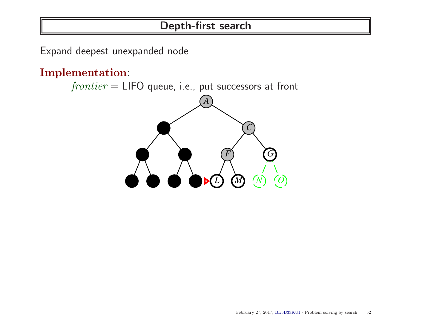Expand deepest unexpanded node

Implementation:

 $frontier = LIFO$  queue, i.e., put successors at front

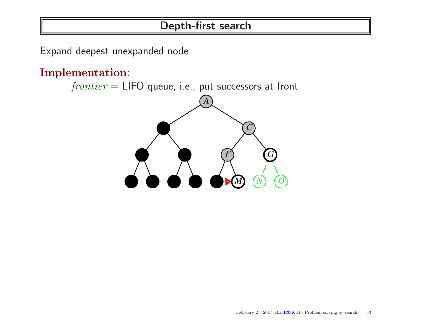Expand deepest unexpanded node

Implementation:

 $frontier = LIFO$  queue, i.e., put successors at front

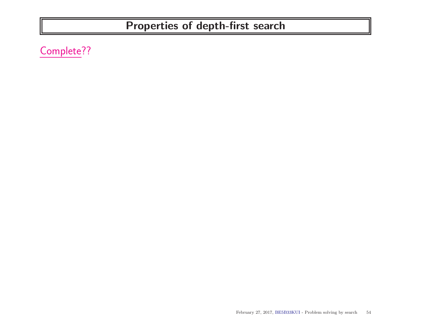Complete??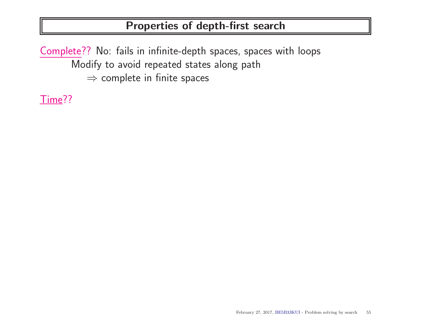Complete?? No: fails in infinite-depth spaces, spaces with loops Modify to avoid repeated states along path  $\Rightarrow$  complete in finite spaces

Time??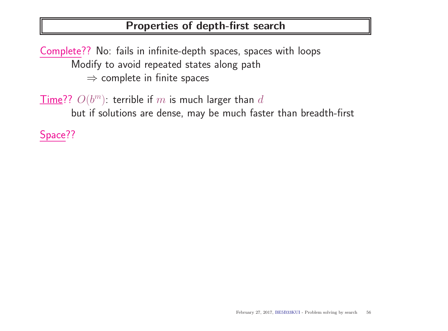Complete?? No: fails in infinite-depth spaces, spaces with loops Modify to avoid repeated states along path  $\Rightarrow$  complete in finite spaces

 $\overline{\textsf{Time}}$ ??  $O(b^m)$ : terrible if  $m$  is much larger than  $d$ but if solutions are dense, may be much faster than breadth-first

Space??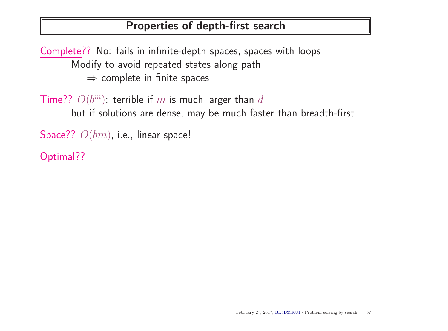Complete?? No: fails in infinite-depth spaces, spaces with loops Modify to avoid repeated states along path  $\Rightarrow$  complete in finite spaces

 $\overline{\textsf{Time}}$ ??  $O(b^m)$ : terrible if  $m$  is much larger than  $d$ but if solutions are dense, may be much faster than breadth-first

```
Space?? O(bm), i.e., linear space!
```
Optimal??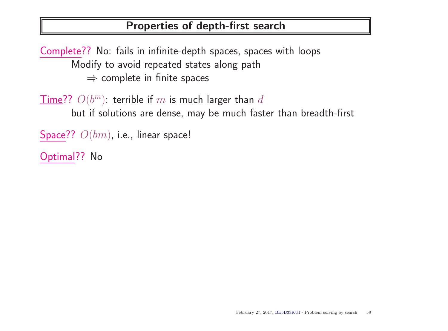Complete?? No: fails in infinite-depth spaces, spaces with loops Modify to avoid repeated states along path  $\Rightarrow$  complete in finite spaces

 $\overline{\textsf{Time}}$ ??  $O(b^m)$ : terrible if  $m$  is much larger than  $d$ but if solutions are dense, may be much faster than breadth-first

```
Space?? O(bm), i.e., linear space!
```
Optimal?? No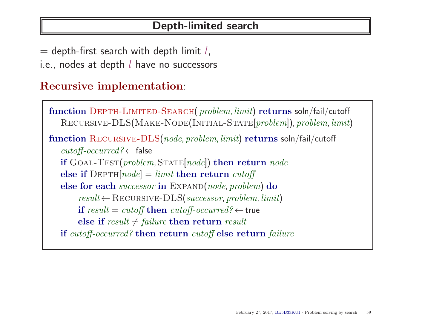#### Depth-limited search

- $=$  depth-first search with depth limit  $l$ ,
- i.e., nodes at depth  $l$  have no successors

#### Recursive implementation:

```
function DEPTH-LIMITED-SEARCH( problem, limit) returns soln/fail/cutoff
   RECURSIVE-DLS(MAKE-NODE(INITIAL-STATE[problem]), problem, limit)
function Recursive-DLS(node, problem, limit) returns soln/fail/cutoff
   cutoff\text{-}occurred? \leftarrow \text{false}if GOAL-TEST(problem, STATE[node]) then return node
   else if DEF H[node] = limit then return cutoff
   else for each successor in EXPAND(node, problem) do
       result \leftarrow RECURSIVE-DLS(successor, problem, limit)if result = cutoff then cutoff\text{-}occurred? \leftarrow trueelse if result \neq failure then return result
   if cutoff-occurred? then return cutoff else return failure
```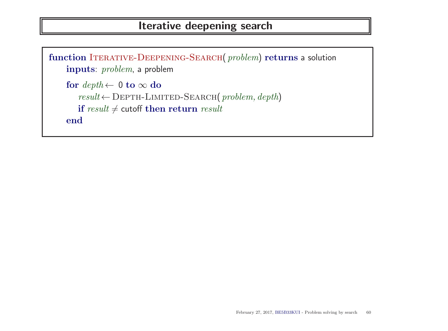#### Iterative deepening search

```
function ITERATIVE-DEEPENING-SEARCH(problem) returns a solution
    inputs: problem, a problem
    for \mathit{depth} \leftarrow 0 to \infty do
        result \leftarrow \text{DEPTH-LIMITED-SEARCH}(\ problem, depth)if result \neq cutoff then return resultend
```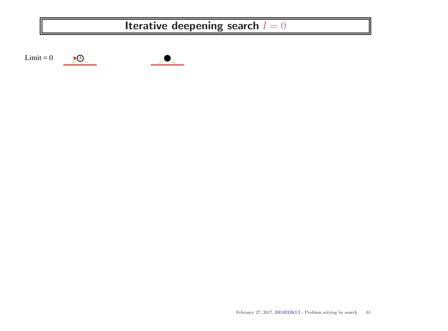## Iterative deepening search  $l = 0$



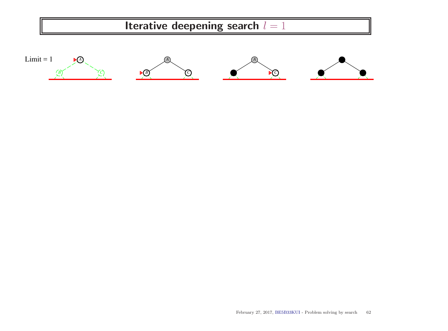

 $\overline{B}$  **C** 

*B*  $\binom{C}{C}$ 

**P** $\odot$ 

*B C*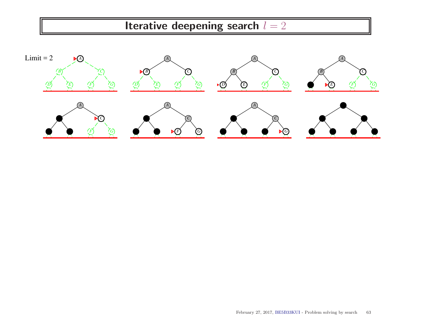Iterative deepening search  $l = 2$ 

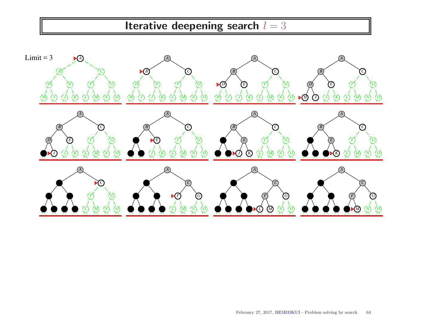Iterative deepening search  $l = 3$ 

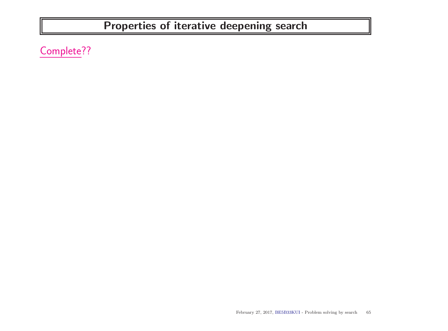Complete??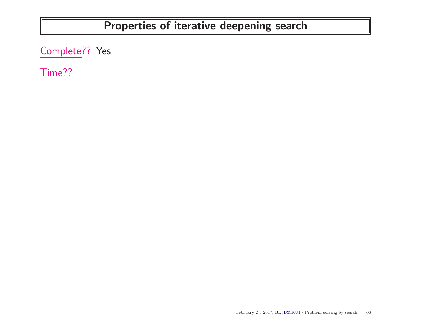Complete?? Yes

Time??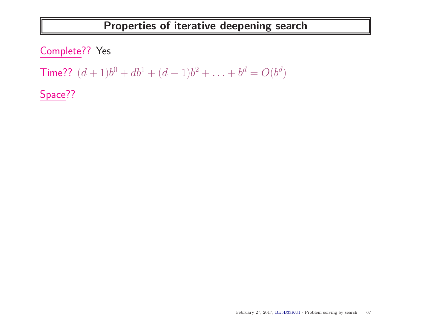Complete?? Yes

Time??  $(d+1)b^0 + db^1 + (d-1)b^2 + \ldots + b^d = O(b^d)$ 

Space??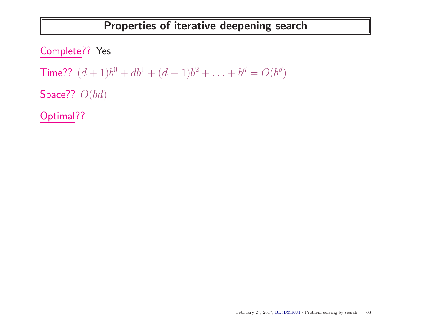Complete?? Yes Time??  $(d+1)b^0 + db^1 + (d-1)b^2 + \ldots + b^d = O(b^d)$ Space??  $O(bd)$ 

Optimal??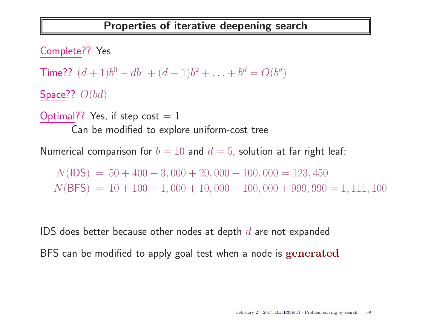Complete?? Yes Time??  $(d+1)b^0 + db^1 + (d-1)b^2 + \ldots + b^d = O(b^d)$ Space??  $O(bd)$ Optimal?? Yes, if step cost  $= 1$ Can be modified to explore uniform-cost tree

Numerical comparison for  $b = 10$  and  $d = 5$ , solution at far right leaf:

 $N($ IDS) = 50 + 400 + 3, 000 + 20, 000 + 100, 000 = 123, 450  $N(BFS) = 10 + 100 + 1,000 + 10,000 + 100,000 + 999,990 = 1,111,100$ 

IDS does better because other nodes at depth  $d$  are not expanded BFS can be modified to apply goal test when a node is generated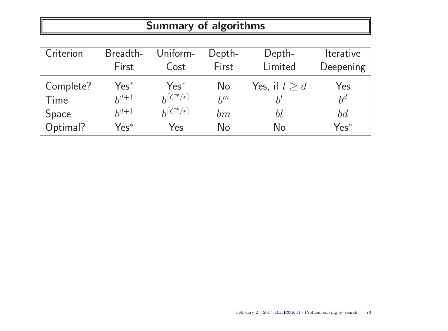# Summary of algorithms

| Criterion | Breadth-  | Uniform-             | Depth- | Depth-          | <i><u><b>Iterative</b></u></i> |
|-----------|-----------|----------------------|--------|-----------------|--------------------------------|
|           | First     | Cost                 | First  | Limited         | Deepening                      |
| Complete? | $Yes^*$   | $Yes^*$              | No     | Yes, if $l > d$ | Yes                            |
| Time      | $h^{d+1}$ | $h^{[C^*/\epsilon]}$ | $h^m$  | $h^l$           | $b^d$                          |
| Space     | $h^{d+1}$ | $h^{[C^*/\epsilon]}$ | bm     | bl              | bd                             |
| Optimal?  | $Yes^*$   | Yes                  | No     | No              | $Yes^*$                        |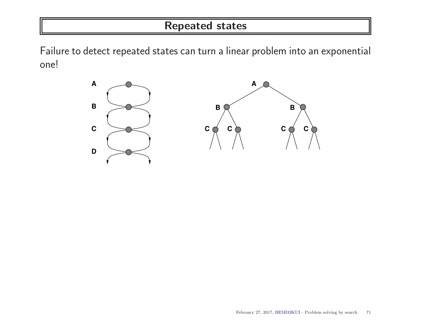#### Repeated states

Failure to detect repeated states can turn a linear problem into an exponential one!

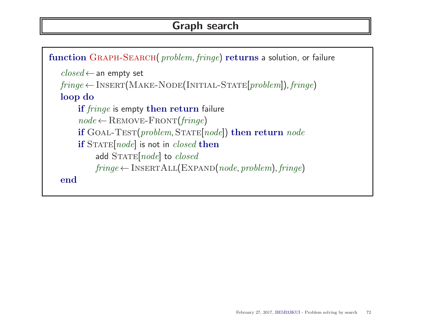#### Graph search

```
function GRAPH-SEARCH( problem, fringe) returns a solution, or failure
   closed \leftarrow an empty set
   fringe \leftarrow \text{INSERT}(\text{MAKE-NODE}(\text{INITIAL-STATE}[\text{problem}]), \text{fringe})loop do
        if fringe is empty then return failure
        node \leftarrowREMOVE-FRONT(fringe)if GOAL-TEST(problem, STATE[node]) then return nodeif STATE(node] is not in closed then
             add STATE[node] to closedfringe \leftarrow \text{INSERTALL}(\text{EXPAND}(node, problem), fringe)end
```